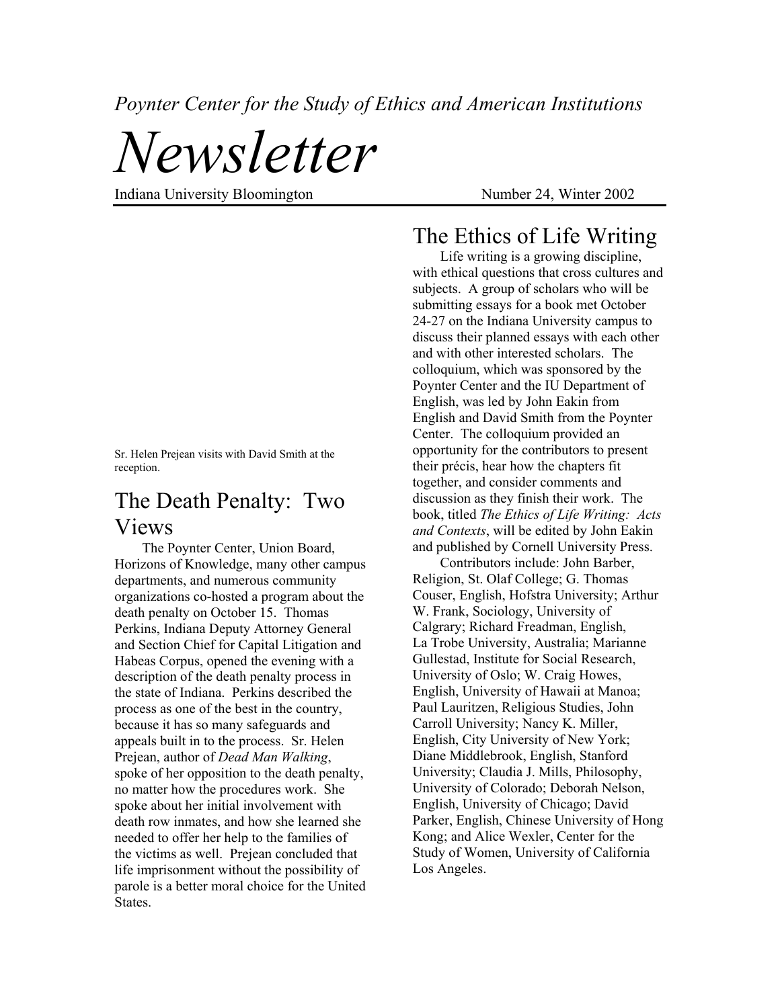*Poynter Center for the Study of Ethics and American Institutions* 

*Newsletter* 

Indiana University Bloomington Number 24, Winter 2002

# The Ethics of Life Writing

Life writing is a growing discipline, with ethical questions that cross cultures and subjects. A group of scholars who will be submitting essays for a book met October 24-27 on the Indiana University campus to discuss their planned essays with each other and with other interested scholars. The colloquium, which was sponsored by the Poynter Center and the IU Department of English, was led by John Eakin from English and David Smith from the Poynter Center. The colloquium provided an opportunity for the contributors to present their précis, hear how the chapters fit together, and consider comments and discussion as they finish their work. The book, titled *The Ethics of Life Writing: Acts and Contexts*, will be edited by John Eakin and published by Cornell University Press.

Contributors include: John Barber, Religion, St. Olaf College; G. Thomas Couser, English, Hofstra University; Arthur W. Frank, Sociology, University of Calgrary; Richard Freadman, English, La Trobe University, Australia; Marianne Gullestad, Institute for Social Research, University of Oslo; W. Craig Howes, English, University of Hawaii at Manoa; Paul Lauritzen, Religious Studies, John Carroll University; Nancy K. Miller, English, City University of New York; Diane Middlebrook, English, Stanford University; Claudia J. Mills, Philosophy, University of Colorado; Deborah Nelson, English, University of Chicago; David Parker, English, Chinese University of Hong Kong; and Alice Wexler, Center for the Study of Women, University of California Los Angeles.

Sr. Helen Prejean visits with David Smith at the reception.

## The Death Penalty: Two Views

The Poynter Center, Union Board, Horizons of Knowledge, many other campus departments, and numerous community organizations co-hosted a program about the death penalty on October 15. Thomas Perkins, Indiana Deputy Attorney General and Section Chief for Capital Litigation and Habeas Corpus, opened the evening with a description of the death penalty process in the state of Indiana. Perkins described the process as one of the best in the country, because it has so many safeguards and appeals built in to the process. Sr. Helen Prejean, author of *Dead Man Walking*, spoke of her opposition to the death penalty, no matter how the procedures work. She spoke about her initial involvement with death row inmates, and how she learned she needed to offer her help to the families of the victims as well. Prejean concluded that life imprisonment without the possibility of parole is a better moral choice for the United States.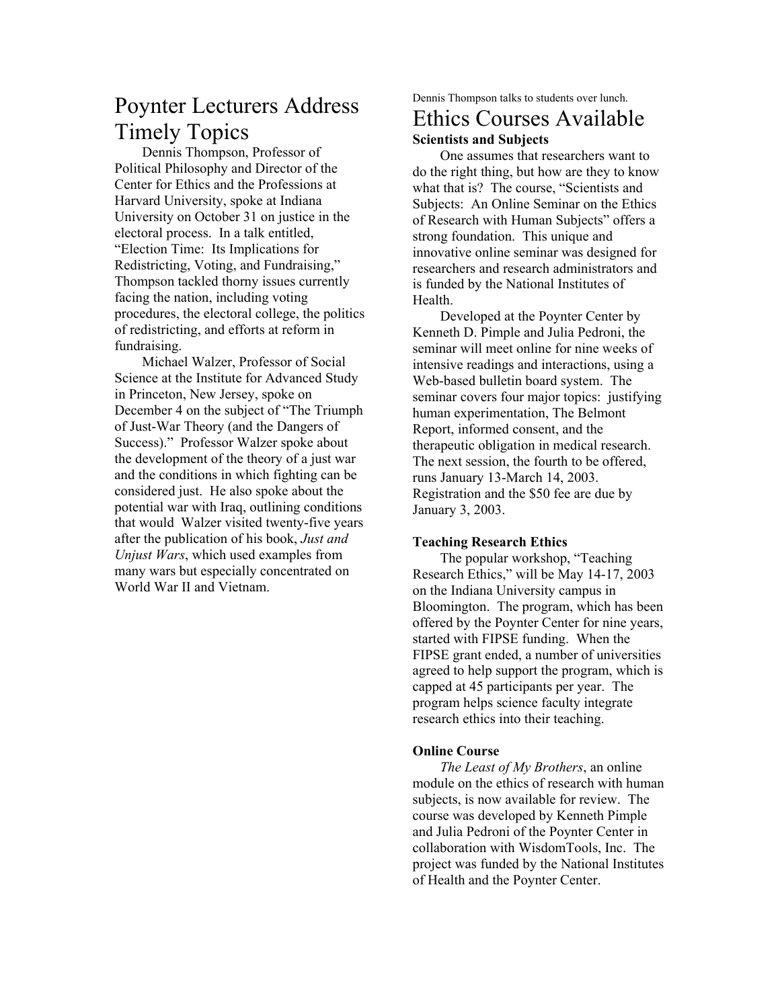# Poynter Lecturers Address Timely Topics

Dennis Thompson, Professor of Political Philosophy and Director of the Center for Ethics and the Professions at Harvard University, spoke at Indiana University on October 31 on justice in the electoral process. In a talk entitled, "Election Time: Its Implications for Redistricting, Voting, and Fundraising," Thompson tackled thorny issues currently facing the nation, including voting procedures, the electoral college, the politics of redistricting, and efforts at reform in fundraising.

Michael Walzer, Professor of Social Science at the Institute for Advanced Study in Princeton, New Jersey, spoke on December 4 on the subject of "The Triumph of Just-War Theory (and the Dangers of Success)." Professor Walzer spoke about the development of the theory of a just war and the conditions in which fighting can be considered just. He also spoke about the potential war with Iraq, outlining conditions that would Walzer visited twenty-five years after the publication of his book, *Just and Unjust Wars*, which used examples from many wars but especially concentrated on World War II and Vietnam.

Dennis Thompson talks to students over lunch.

#### Ethics Courses Available **Scientists and Subjects**

One assumes that researchers want to do the right thing, but how are they to know what that is? The course, "Scientists and Subjects: An Online Seminar on the Ethics of Research with Human Subjects" offers a strong foundation. This unique and innovative online seminar was designed for researchers and research administrators and is funded by the National Institutes of Health.

Developed at the Poynter Center by Kenneth D. Pimple and Julia Pedroni, the seminar will meet online for nine weeks of intensive readings and interactions, using a Web-based bulletin board system. The seminar covers four major topics: justifying human experimentation, The Belmont Report, informed consent, and the therapeutic obligation in medical research. The next session, the fourth to be offered, runs January 13-March 14, 2003. Registration and the \$50 fee are due by January 3, 2003.

#### **Teaching Research Ethics**

The popular workshop, "Teaching Research Ethics," will be May 14-17, 2003 on the Indiana University campus in Bloomington. The program, which has been offered by the Poynter Center for nine years, started with FIPSE funding. When the FIPSE grant ended, a number of universities agreed to help support the program, which is capped at 45 participants per year. The program helps science faculty integrate research ethics into their teaching.

#### **Online Course**

*The Least of My Brothers*, an online module on the ethics of research with human subjects, is now available for review. The course was developed by Kenneth Pimple and Julia Pedroni of the Poynter Center in collaboration with WisdomTools, Inc. The project was funded by the National Institutes of Health and the Poynter Center.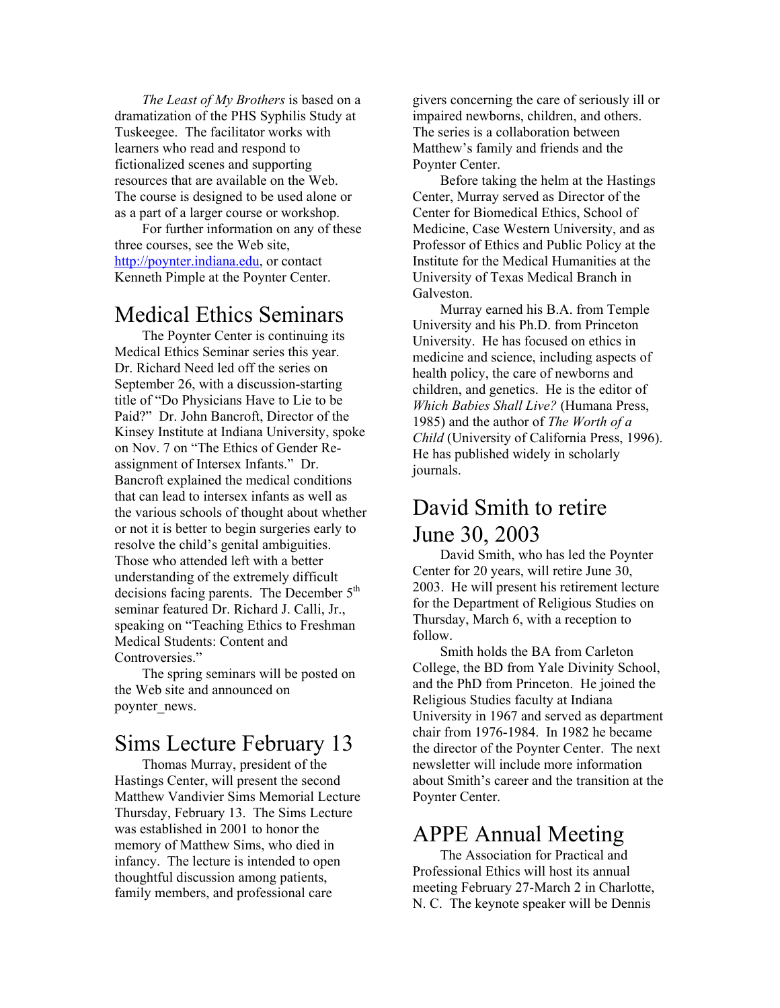*The Least of My Brothers* is based on a dramatization of the PHS Syphilis Study at Tuskeegee. The facilitator works with learners who read and respond to fictionalized scenes and supporting resources that are available on the Web. The course is designed to be used alone or as a part of a larger course or workshop.

For further information on any of these three courses, see the Web site, http://poynter.indiana.edu, or contact Kenneth Pimple at the Poynter Center.

### Medical Ethics Seminars

The Poynter Center is continuing its Medical Ethics Seminar series this year. Dr. Richard Need led off the series on September 26, with a discussion-starting title of "Do Physicians Have to Lie to be Paid?" Dr. John Bancroft, Director of the Kinsey Institute at Indiana University, spoke on Nov. 7 on "The Ethics of Gender Reassignment of Intersex Infants." Dr. Bancroft explained the medical conditions that can lead to intersex infants as well as the various schools of thought about whether or not it is better to begin surgeries early to resolve the child's genital ambiguities. Those who attended left with a better understanding of the extremely difficult decisions facing parents. The December  $5<sup>th</sup>$ seminar featured Dr. Richard J. Calli, Jr., speaking on "Teaching Ethics to Freshman Medical Students: Content and Controversies."

The spring seminars will be posted on the Web site and announced on poynter\_news.

# Sims Lecture February 13

Thomas Murray, president of the Hastings Center, will present the second Matthew Vandivier Sims Memorial Lecture Thursday, February 13. The Sims Lecture was established in 2001 to honor the memory of Matthew Sims, who died in infancy. The lecture is intended to open thoughtful discussion among patients, family members, and professional care

givers concerning the care of seriously ill or impaired newborns, children, and others. The series is a collaboration between Matthew's family and friends and the Poynter Center.

Before taking the helm at the Hastings Center, Murray served as Director of the Center for Biomedical Ethics, School of Medicine, Case Western University, and as Professor of Ethics and Public Policy at the Institute for the Medical Humanities at the University of Texas Medical Branch in Galveston.

Murray earned his B.A. from Temple University and his Ph.D. from Princeton University. He has focused on ethics in medicine and science, including aspects of health policy, the care of newborns and children, and genetics. He is the editor of *Which Babies Shall Live?* (Humana Press, 1985) and the author of *The Worth of a Child* (University of California Press, 1996). He has published widely in scholarly journals.

## David Smith to retire June 30, 2003

David Smith, who has led the Poynter Center for 20 years, will retire June 30, 2003. He will present his retirement lecture for the Department of Religious Studies on Thursday, March 6, with a reception to follow.

Smith holds the BA from Carleton College, the BD from Yale Divinity School, and the PhD from Princeton. He joined the Religious Studies faculty at Indiana University in 1967 and served as department chair from 1976-1984. In 1982 he became the director of the Poynter Center. The next newsletter will include more information about Smith's career and the transition at the Poynter Center.

### APPE Annual Meeting

The Association for Practical and Professional Ethics will host its annual meeting February 27-March 2 in Charlotte, N. C. The keynote speaker will be Dennis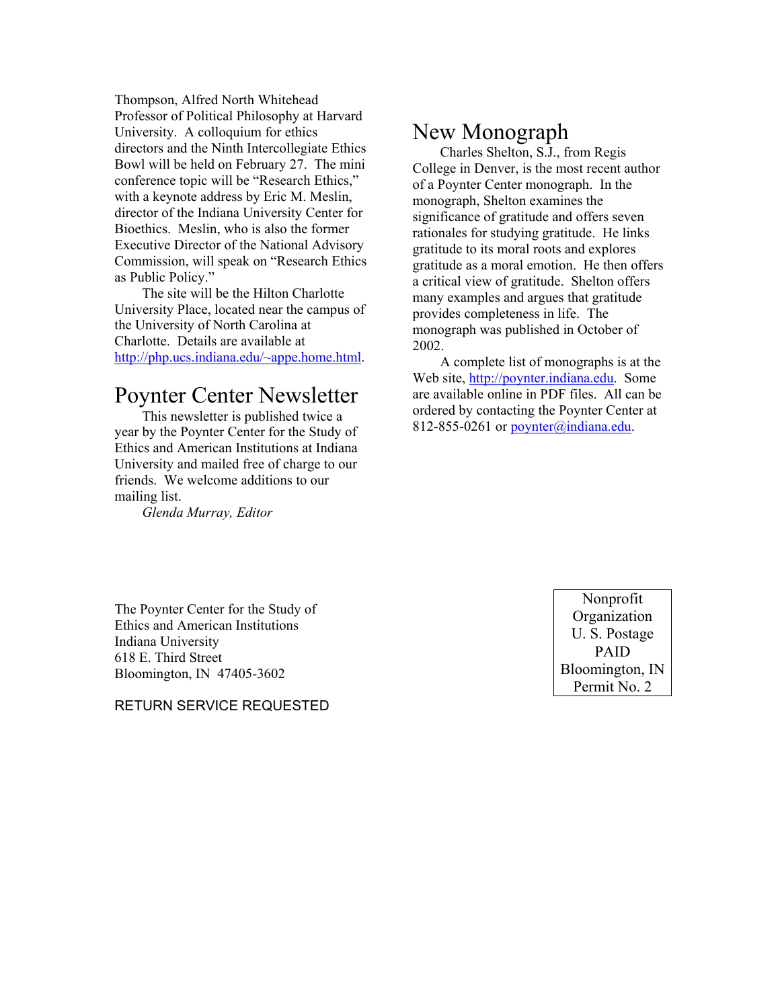Thompson, Alfred North Whitehead Professor of Political Philosophy at Harvard University. A colloquium for ethics directors and the Ninth Intercollegiate Ethics Bowl will be held on February 27. The mini conference topic will be "Research Ethics," with a keynote address by Eric M. Meslin, director of the Indiana University Center for Bioethics. Meslin, who is also the former Executive Director of the National Advisory Commission, will speak on "Research Ethics as Public Policy."

The site will be the Hilton Charlotte University Place, located near the campus of the University of North Carolina at Charlotte. Details are available at http://php.ucs.indiana.edu/~appe.home.html.

## Poynter Center Newsletter

This newsletter is published twice a year by the Poynter Center for the Study of Ethics and American Institutions at Indiana University and mailed free of charge to our friends. We welcome additions to our mailing list.

*Glenda Murray, Editor* 

### New Monograph

Charles Shelton, S.J., from Regis College in Denver, is the most recent author of a Poynter Center monograph. In the monograph, Shelton examines the significance of gratitude and offers seven rationales for studying gratitude. He links gratitude to its moral roots and explores gratitude as a moral emotion. He then offers a critical view of gratitude. Shelton offers many examples and argues that gratitude provides completeness in life. The monograph was published in October of 2002.

A complete list of monographs is at the Web site, http://poynter.indiana.edu. Some are available online in PDF files. All can be ordered by contacting the Poynter Center at 812-855-0261 or poynter@indiana.edu.

The Poynter Center for the Study of Ethics and American Institutions Indiana University 618 E. Third Street Bloomington, IN 47405-3602

RETURN SERVICE REQUESTED

Nonprofit **Organization** U. S. Postage PAID Bloomington, IN Permit No. 2